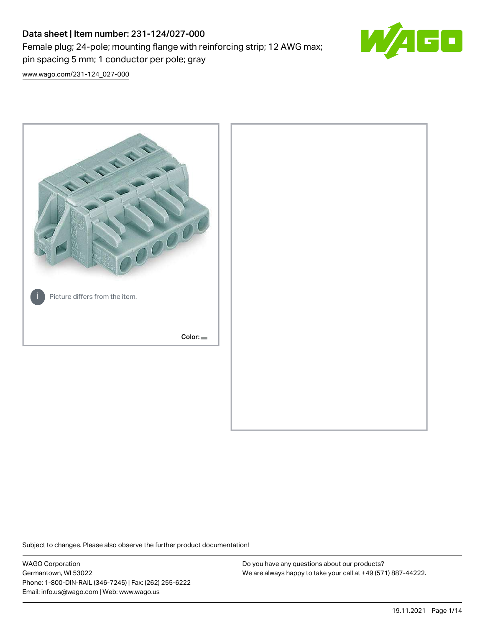# Data sheet | Item number: 231-124/027-000 Female plug; 24-pole; mounting flange with reinforcing strip; 12 AWG max; pin spacing 5 mm; 1 conductor per pole; gray



[www.wago.com/231-124\\_027-000](http://www.wago.com/231-124_027-000)



Subject to changes. Please also observe the further product documentation!

WAGO Corporation Germantown, WI 53022 Phone: 1-800-DIN-RAIL (346-7245) | Fax: (262) 255-6222 Email: info.us@wago.com | Web: www.wago.us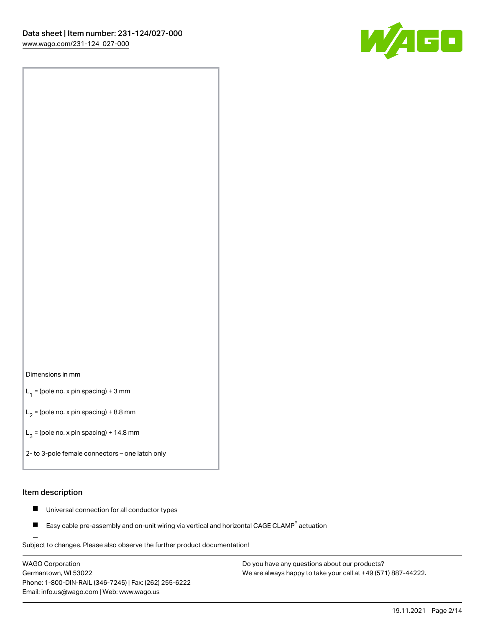

### Dimensions in mm

 $L_1$  = (pole no. x pin spacing) + 3 mm

 $L_2$  = (pole no. x pin spacing) + 8.8 mm

 $L_3$  = (pole no. x pin spacing) + 14.8 mm

2- to 3-pole female connectors – one latch only

#### Item description

- Universal connection for all conductor types  $\blacksquare$
- Easy cable pre-assembly and on-unit wiring via vertical and horizontal CAGE CLAMP<sup>®</sup> actuation П

.<br>Subject to changes. Please also observe the further product documentation!

WAGO Corporation Germantown, WI 53022 Phone: 1-800-DIN-RAIL (346-7245) | Fax: (262) 255-6222 Email: info.us@wago.com | Web: www.wago.us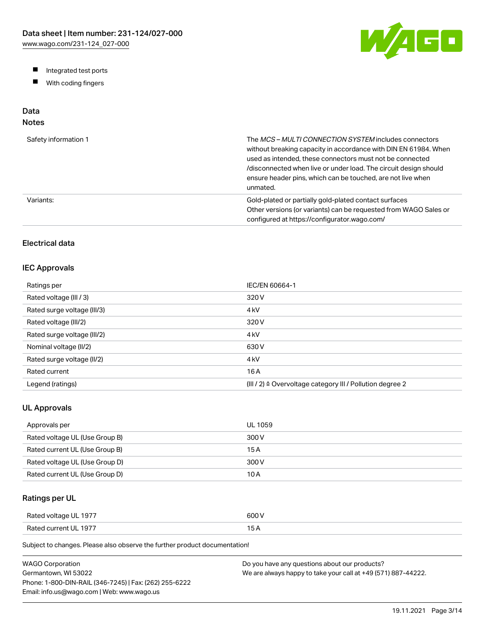W/AGO

- Integrated test ports
- $\blacksquare$ With coding fingers

# Data

# Notes

| Safety information 1 | The MCS-MULTI CONNECTION SYSTEM includes connectors<br>without breaking capacity in accordance with DIN EN 61984. When<br>used as intended, these connectors must not be connected<br>/disconnected when live or under load. The circuit design should<br>ensure header pins, which can be touched, are not live when<br>unmated. |
|----------------------|-----------------------------------------------------------------------------------------------------------------------------------------------------------------------------------------------------------------------------------------------------------------------------------------------------------------------------------|
| Variants:            | Gold-plated or partially gold-plated contact surfaces<br>Other versions (or variants) can be requested from WAGO Sales or<br>configured at https://configurator.wago.com/                                                                                                                                                         |

### Electrical data

### IEC Approvals

| Ratings per                 | IEC/EN 60664-1                                                        |
|-----------------------------|-----------------------------------------------------------------------|
| Rated voltage (III / 3)     | 320 V                                                                 |
| Rated surge voltage (III/3) | 4 <sub>kV</sub>                                                       |
| Rated voltage (III/2)       | 320 V                                                                 |
| Rated surge voltage (III/2) | 4 <sub>k</sub> V                                                      |
| Nominal voltage (II/2)      | 630 V                                                                 |
| Rated surge voltage (II/2)  | 4 <sub>k</sub> V                                                      |
| Rated current               | 16 A                                                                  |
| Legend (ratings)            | $(III / 2)$ $\triangle$ Overvoltage category III / Pollution degree 2 |

### UL Approvals

| Approvals per                  | <b>UL 1059</b> |
|--------------------------------|----------------|
| Rated voltage UL (Use Group B) | 300 V          |
| Rated current UL (Use Group B) | 15 A           |
| Rated voltage UL (Use Group D) | 300 V          |
| Rated current UL (Use Group D) | 10 A           |

### Ratings per UL

| Rated voltage UL 1977 | 600 V  |
|-----------------------|--------|
| Rated current UL 1977 | $\sim$ |

| <b>WAGO Corporation</b>                                | Do you have any questions about our products?                 |
|--------------------------------------------------------|---------------------------------------------------------------|
| Germantown, WI 53022                                   | We are always happy to take your call at +49 (571) 887-44222. |
| Phone: 1-800-DIN-RAIL (346-7245)   Fax: (262) 255-6222 |                                                               |
| Email: info.us@wago.com   Web: www.wago.us             |                                                               |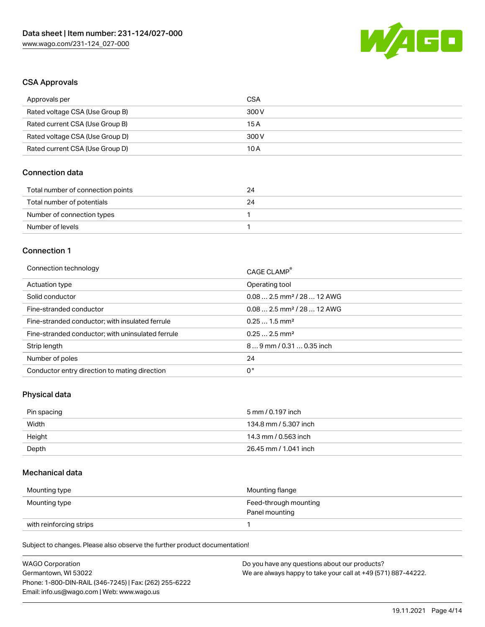

#### CSA Approvals

| Approvals per                   | CSA   |
|---------------------------------|-------|
| Rated voltage CSA (Use Group B) | 300 V |
| Rated current CSA (Use Group B) | 15 A  |
| Rated voltage CSA (Use Group D) | 300 V |
| Rated current CSA (Use Group D) | 10 A  |

### Connection data

| Total number of connection points | 24 |
|-----------------------------------|----|
| Total number of potentials        | 24 |
| Number of connection types        |    |
| Number of levels                  |    |

#### Connection 1

| Connection technology                             | CAGE CLAMP®                            |
|---------------------------------------------------|----------------------------------------|
| Actuation type                                    | Operating tool                         |
| Solid conductor                                   | $0.082.5$ mm <sup>2</sup> / 28  12 AWG |
| Fine-stranded conductor                           | $0.082.5$ mm <sup>2</sup> / 28  12 AWG |
| Fine-stranded conductor; with insulated ferrule   | $0.251.5$ mm <sup>2</sup>              |
| Fine-stranded conductor; with uninsulated ferrule | $0.252.5$ mm <sup>2</sup>              |
| Strip length                                      | $89$ mm / 0.31  0.35 inch              |
| Number of poles                                   | 24                                     |
| Conductor entry direction to mating direction     | 0°                                     |

### Physical data

| Pin spacing | 5 mm / 0.197 inch     |
|-------------|-----------------------|
| Width       | 134.8 mm / 5.307 inch |
| Height      | 14.3 mm / 0.563 inch  |
| Depth       | 26.45 mm / 1.041 inch |

#### Mechanical data

| Mounting type           | Mounting flange                         |
|-------------------------|-----------------------------------------|
| Mounting type           | Feed-through mounting<br>Panel mounting |
| with reinforcing strips |                                         |

| <b>WAGO Corporation</b>                                | Do you have any questions about our products?                 |
|--------------------------------------------------------|---------------------------------------------------------------|
| Germantown. WI 53022                                   | We are always happy to take your call at +49 (571) 887-44222. |
| Phone: 1-800-DIN-RAIL (346-7245)   Fax: (262) 255-6222 |                                                               |
| Email: info.us@wago.com   Web: www.wago.us             |                                                               |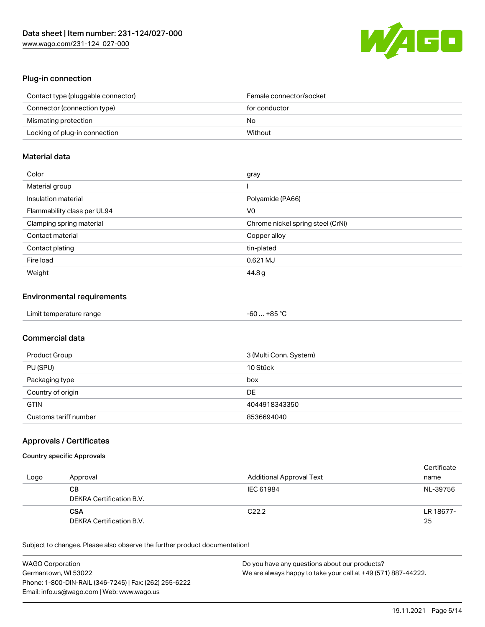

### Plug-in connection

| Contact type (pluggable connector) | Female connector/socket |
|------------------------------------|-------------------------|
| Connector (connection type)        | for conductor           |
| Mismating protection               | No                      |
| Locking of plug-in connection      | Without                 |

### Material data

| Color                       | gray                              |
|-----------------------------|-----------------------------------|
| Material group              |                                   |
| Insulation material         | Polyamide (PA66)                  |
| Flammability class per UL94 | V <sub>0</sub>                    |
| Clamping spring material    | Chrome nickel spring steel (CrNi) |
| Contact material            | Copper alloy                      |
| Contact plating             | tin-plated                        |
| Fire load                   | 0.621 MJ                          |
| Weight                      | 44.8 g                            |

### Environmental requirements

| Limit temperature range | -60  +85 °C |
|-------------------------|-------------|
|-------------------------|-------------|

### Commercial data

| Product Group         | 3 (Multi Conn. System) |
|-----------------------|------------------------|
| PU (SPU)              | 10 Stück               |
| Packaging type        | box                    |
| Country of origin     | DE                     |
| <b>GTIN</b>           | 4044918343350          |
| Customs tariff number | 8536694040             |

### Approvals / Certificates

#### Country specific Approvals

| Logo | Approval                               | Additional Approval Text | Certificate<br>name |
|------|----------------------------------------|--------------------------|---------------------|
|      | CВ<br>DEKRA Certification B.V.         | IEC 61984                | NL-39756            |
|      | <b>CSA</b><br>DEKRA Certification B.V. | C <sub>22.2</sub>        | LR 18677-<br>25     |

| <b>WAGO Corporation</b>                                | Do you have any questions about our products?                 |
|--------------------------------------------------------|---------------------------------------------------------------|
| Germantown, WI 53022                                   | We are always happy to take your call at +49 (571) 887-44222. |
| Phone: 1-800-DIN-RAIL (346-7245)   Fax: (262) 255-6222 |                                                               |
| Email: info.us@wago.com   Web: www.wago.us             |                                                               |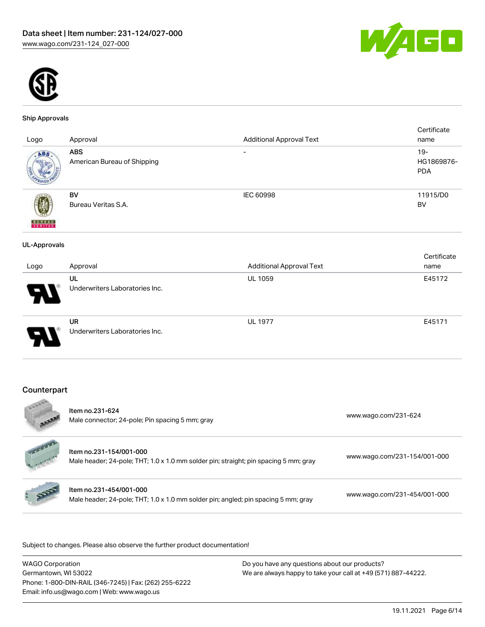



#### Ship Approvals

| Logo                | Approval                                    | <b>Additional Approval Text</b> | Certificate<br>name                |
|---------------------|---------------------------------------------|---------------------------------|------------------------------------|
| ABS                 | <b>ABS</b><br>American Bureau of Shipping   | $\overline{\phantom{0}}$        | $19 -$<br>HG1869876-<br><b>PDA</b> |
| <b>BUNEAU</b>       | BV<br>Bureau Veritas S.A.                   | <b>IEC 60998</b>                | 11915/D0<br><b>BV</b>              |
| <b>UL-Approvals</b> |                                             |                                 |                                    |
|                     |                                             |                                 | Certificate                        |
| Logo                | Approval                                    | <b>Additional Approval Text</b> | name                               |
|                     | UL<br>Underwriters Laboratories Inc.        | <b>UL 1059</b>                  | E45172                             |
|                     | <b>UR</b><br>Underwriters Laboratories Inc. | <b>UL 1977</b>                  | E45171                             |
|                     |                                             |                                 |                                    |

### Counterpart

| -60045     | Item no.231-624<br>Male connector; 24-pole; Pin spacing 5 mm; gray                                              | www.wago.com/231-624         |
|------------|-----------------------------------------------------------------------------------------------------------------|------------------------------|
| Sand Corp. | Item no.231-154/001-000<br>Male header; 24-pole; THT; 1.0 x 1.0 mm solder pin; straight; pin spacing 5 mm; gray | www.wago.com/231-154/001-000 |
|            | Item no.231-454/001-000<br>Male header; 24-pole; THT; 1.0 x 1.0 mm solder pin; angled; pin spacing 5 mm; gray   | www.wago.com/231-454/001-000 |
|            |                                                                                                                 |                              |

| <b>WAGO Corporation</b>                                | Do you have any questions about our products?                 |
|--------------------------------------------------------|---------------------------------------------------------------|
| Germantown, WI 53022                                   | We are always happy to take your call at +49 (571) 887-44222. |
| Phone: 1-800-DIN-RAIL (346-7245)   Fax: (262) 255-6222 |                                                               |
| Email: info.us@wago.com   Web: www.wago.us             |                                                               |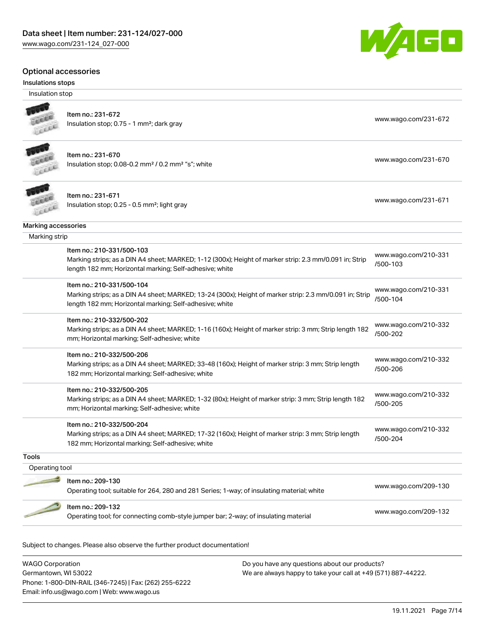#### Optional accessories

#### Insulations stops

Insulation stop



## Item no.: 231-672

Insulation stop; 0.75 - 1 mm²; dark gray [www.wago.com/231-672](http://www.wago.com/231-672)



#### Item no.: 231-670 Insulation stop; 0.08-0.2 mm<sup>2</sup> / 0.2 mm<sup>2</sup> "s"; white [www.wago.com/231-670](http://www.wago.com/231-670) www.wago.com/231-670



## Item no.: 231-671

Insulation stop; 0.25 - 0.5 mm²; light gray [www.wago.com/231-671](http://www.wago.com/231-671) www.wago.com/231-671

Marking accessories

Marking strip

|                | Item no.: 210-331/500-103<br>Marking strips; as a DIN A4 sheet; MARKED; 1-12 (300x); Height of marker strip: 2.3 mm/0.091 in; Strip | www.wago.com/210-331             |
|----------------|-------------------------------------------------------------------------------------------------------------------------------------|----------------------------------|
|                | length 182 mm; Horizontal marking; Self-adhesive; white                                                                             | /500-103                         |
|                | Item no.: 210-331/500-104                                                                                                           |                                  |
|                | Marking strips; as a DIN A4 sheet; MARKED; 13-24 (300x); Height of marker strip: 2.3 mm/0.091 in; Strip                             | www.wago.com/210-331<br>/500-104 |
|                | length 182 mm; Horizontal marking; Self-adhesive; white                                                                             |                                  |
|                | Item no.: 210-332/500-202                                                                                                           |                                  |
|                | Marking strips; as a DIN A4 sheet; MARKED; 1-16 (160x); Height of marker strip: 3 mm; Strip length 182                              | www.wago.com/210-332<br>/500-202 |
|                | mm; Horizontal marking; Self-adhesive; white                                                                                        |                                  |
|                | Item no.: 210-332/500-206                                                                                                           |                                  |
|                | Marking strips; as a DIN A4 sheet; MARKED; 33-48 (160x); Height of marker strip: 3 mm; Strip length                                 | www.wago.com/210-332<br>/500-206 |
|                | 182 mm; Horizontal marking; Self-adhesive; white                                                                                    |                                  |
|                | Item no.: 210-332/500-205                                                                                                           |                                  |
|                | Marking strips; as a DIN A4 sheet; MARKED; 1-32 (80x); Height of marker strip: 3 mm; Strip length 182                               | www.wago.com/210-332<br>/500-205 |
|                | mm; Horizontal marking; Self-adhesive; white                                                                                        |                                  |
|                | Item no.: 210-332/500-204                                                                                                           |                                  |
|                | Marking strips; as a DIN A4 sheet; MARKED; 17-32 (160x); Height of marker strip: 3 mm; Strip length                                 | www.wago.com/210-332<br>/500-204 |
|                | 182 mm; Horizontal marking; Self-adhesive; white                                                                                    |                                  |
| <b>Tools</b>   |                                                                                                                                     |                                  |
| Operating tool |                                                                                                                                     |                                  |
|                | Item no.: 209-130                                                                                                                   |                                  |
|                | Operating tool; suitable for 264, 280 and 281 Series; 1-way; of insulating material; white                                          | www.wago.com/209-130             |
|                | Item no.: 209-132                                                                                                                   | www.wago.com/209-132             |
|                |                                                                                                                                     |                                  |

Subject to changes. Please also observe the further product documentation!

WAGO Corporation Germantown, WI 53022 Phone: 1-800-DIN-RAIL (346-7245) | Fax: (262) 255-6222 Email: info.us@wago.com | Web: www.wago.us

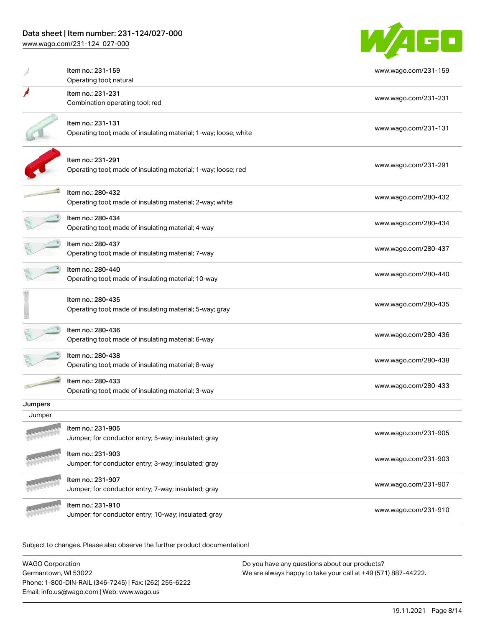[www.wago.com/231-124\\_027-000](http://www.wago.com/231-124_027-000)



|         | Item no.: 231-159<br>Operating tool; natural                                          | www.wago.com/231-159 |
|---------|---------------------------------------------------------------------------------------|----------------------|
|         | Item no.: 231-231<br>Combination operating tool; red                                  | www.wago.com/231-231 |
|         | Item no.: 231-131<br>Operating tool; made of insulating material; 1-way; loose; white | www.wago.com/231-131 |
|         | Item no.: 231-291<br>Operating tool; made of insulating material; 1-way; loose; red   | www.wago.com/231-291 |
|         | Item no.: 280-432<br>Operating tool; made of insulating material; 2-way; white        | www.wago.com/280-432 |
|         | Item no.: 280-434<br>Operating tool; made of insulating material; 4-way               | www.wago.com/280-434 |
|         | Item no.: 280-437<br>Operating tool; made of insulating material; 7-way               | www.wago.com/280-437 |
|         | Item no.: 280-440<br>Operating tool; made of insulating material; 10-way              | www.wago.com/280-440 |
|         | Item no.: 280-435<br>Operating tool; made of insulating material; 5-way; gray         | www.wago.com/280-435 |
|         | ltem no.: 280-436<br>Operating tool; made of insulating material; 6-way               | www.wago.com/280-436 |
|         | Item no.: 280-438<br>Operating tool; made of insulating material; 8-way               | www.wago.com/280-438 |
|         | Item no.: 280-433<br>Operating tool; made of insulating material; 3-way               | www.wago.com/280-433 |
| Jumpers |                                                                                       |                      |
| Jumper  |                                                                                       |                      |
|         | Item no.: 231-905<br>Jumper; for conductor entry; 5-way; insulated; gray              | www.wago.com/231-905 |
|         | Item no.: 231-903<br>Jumper; for conductor entry; 3-way; insulated; gray              | www.wago.com/231-903 |
|         | Item no.: 231-907<br>Jumper; for conductor entry; 7-way; insulated; gray              | www.wago.com/231-907 |
|         | Item no.: 231-910<br>Jumper; for conductor entry; 10-way; insulated; gray             | www.wago.com/231-910 |
|         |                                                                                       |                      |

| <b>WAGO Corporation</b>                                | Do you have any questions about our products?                 |
|--------------------------------------------------------|---------------------------------------------------------------|
| Germantown. WI 53022                                   | We are always happy to take your call at +49 (571) 887-44222. |
| Phone: 1-800-DIN-RAIL (346-7245)   Fax: (262) 255-6222 |                                                               |
| Email: info.us@wago.com   Web: www.wago.us             |                                                               |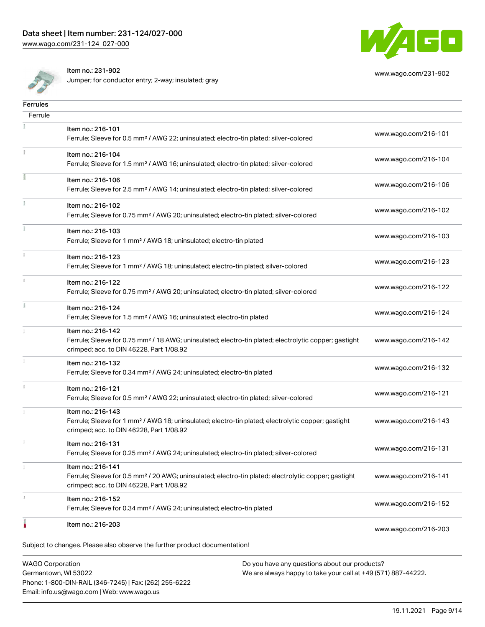

[www.wago.com/231-902](http://www.wago.com/231-902)

Item no.: 231-902

Jumper; for conductor entry; 2-way; insulated; gray

| <b>Ferrules</b>                                                          |                                                                                                                                                                                    |                      |
|--------------------------------------------------------------------------|------------------------------------------------------------------------------------------------------------------------------------------------------------------------------------|----------------------|
| Ferrule                                                                  |                                                                                                                                                                                    |                      |
|                                                                          | Item no.: 216-101<br>Ferrule; Sleeve for 0.5 mm <sup>2</sup> / AWG 22; uninsulated; electro-tin plated; silver-colored                                                             | www.wago.com/216-101 |
|                                                                          | Item no.: 216-104<br>Ferrule; Sleeve for 1.5 mm <sup>2</sup> / AWG 16; uninsulated; electro-tin plated; silver-colored                                                             | www.wago.com/216-104 |
|                                                                          | Item no.: 216-106<br>Ferrule; Sleeve for 2.5 mm <sup>2</sup> / AWG 14; uninsulated; electro-tin plated; silver-colored                                                             | www.wago.com/216-106 |
|                                                                          | Item no.: 216-102<br>Ferrule; Sleeve for 0.75 mm <sup>2</sup> / AWG 20; uninsulated; electro-tin plated; silver-colored                                                            | www.wago.com/216-102 |
|                                                                          | Item no.: 216-103<br>Ferrule; Sleeve for 1 mm <sup>2</sup> / AWG 18; uninsulated; electro-tin plated                                                                               | www.wago.com/216-103 |
|                                                                          | Item no.: 216-123<br>Ferrule; Sleeve for 1 mm <sup>2</sup> / AWG 18; uninsulated; electro-tin plated; silver-colored                                                               | www.wago.com/216-123 |
|                                                                          | Item no.: 216-122<br>Ferrule; Sleeve for 0.75 mm <sup>2</sup> / AWG 20; uninsulated; electro-tin plated; silver-colored                                                            | www.wago.com/216-122 |
|                                                                          | Item no.: 216-124<br>Ferrule; Sleeve for 1.5 mm <sup>2</sup> / AWG 16; uninsulated; electro-tin plated                                                                             | www.wago.com/216-124 |
|                                                                          | Item no.: 216-142<br>Ferrule; Sleeve for 0.75 mm <sup>2</sup> / 18 AWG; uninsulated; electro-tin plated; electrolytic copper; gastight<br>crimped; acc. to DIN 46228, Part 1/08.92 | www.wago.com/216-142 |
|                                                                          | Item no.: 216-132<br>Ferrule; Sleeve for 0.34 mm <sup>2</sup> / AWG 24; uninsulated; electro-tin plated                                                                            | www.wago.com/216-132 |
|                                                                          | Item no.: 216-121<br>Ferrule; Sleeve for 0.5 mm <sup>2</sup> / AWG 22; uninsulated; electro-tin plated; silver-colored                                                             | www.wago.com/216-121 |
|                                                                          | Item no.: 216-143<br>Ferrule; Sleeve for 1 mm <sup>2</sup> / AWG 18; uninsulated; electro-tin plated; electrolytic copper; gastight<br>crimped; acc. to DIN 46228, Part 1/08.92    | www.wago.com/216-143 |
|                                                                          | Item no.: 216-131<br>Ferrule; Sleeve for 0.25 mm <sup>2</sup> / AWG 24; uninsulated; electro-tin plated; silver-colored                                                            | www.wago.com/216-131 |
|                                                                          | Item no.: 216-141<br>Ferrule; Sleeve for 0.5 mm <sup>2</sup> / 20 AWG; uninsulated; electro-tin plated; electrolytic copper; gastight<br>crimped; acc. to DIN 46228, Part 1/08.92  | www.wago.com/216-141 |
|                                                                          | Item no.: 216-152<br>Ferrule; Sleeve for 0.34 mm <sup>2</sup> / AWG 24; uninsulated; electro-tin plated                                                                            | www.wago.com/216-152 |
|                                                                          | Item no.: 216-203                                                                                                                                                                  | www.wago.com/216-203 |
|                                                                          | Subject to changes. Please also observe the further product documentation!                                                                                                         |                      |
| <b>WAGO Corporation</b><br>Do you have any questions about our products? |                                                                                                                                                                                    |                      |

Germantown, WI 53022 Phone: 1-800-DIN-RAIL (346-7245) | Fax: (262) 255-6222 Email: info.us@wago.com | Web: www.wago.us

We are always happy to take your call at +49 (571) 887-44222.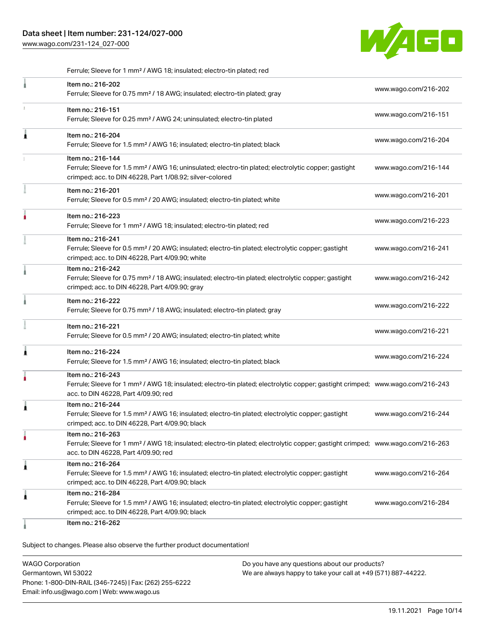[www.wago.com/231-124\\_027-000](http://www.wago.com/231-124_027-000)



| Ferrule; Sleeve for 1 mm <sup>2</sup> / AWG 18; insulated; electro-tin plated; red |  |
|------------------------------------------------------------------------------------|--|
|------------------------------------------------------------------------------------|--|

|   | Item no.: 216-202<br>Ferrule; Sleeve for 0.75 mm <sup>2</sup> / 18 AWG; insulated; electro-tin plated; gray                                                                                             | www.wago.com/216-202 |
|---|---------------------------------------------------------------------------------------------------------------------------------------------------------------------------------------------------------|----------------------|
| x | Item no.: 216-151<br>Ferrule; Sleeve for 0.25 mm <sup>2</sup> / AWG 24; uninsulated; electro-tin plated                                                                                                 | www.wago.com/216-151 |
| Â | Item no.: 216-204<br>Ferrule; Sleeve for 1.5 mm <sup>2</sup> / AWG 16; insulated; electro-tin plated; black                                                                                             | www.wago.com/216-204 |
|   | Item no.: 216-144<br>Ferrule; Sleeve for 1.5 mm <sup>2</sup> / AWG 16; uninsulated; electro-tin plated; electrolytic copper; gastight<br>crimped; acc. to DIN 46228, Part 1/08.92; silver-colored       | www.wago.com/216-144 |
|   | Item no.: 216-201<br>Ferrule; Sleeve for 0.5 mm <sup>2</sup> / 20 AWG; insulated; electro-tin plated; white                                                                                             | www.wago.com/216-201 |
|   | Item no.: 216-223<br>Ferrule; Sleeve for 1 mm <sup>2</sup> / AWG 18; insulated; electro-tin plated; red                                                                                                 | www.wago.com/216-223 |
|   | Item no.: 216-241<br>Ferrule; Sleeve for 0.5 mm <sup>2</sup> / 20 AWG; insulated; electro-tin plated; electrolytic copper; gastight<br>crimped; acc. to DIN 46228, Part 4/09.90; white                  | www.wago.com/216-241 |
|   | Item no.: 216-242<br>Ferrule; Sleeve for 0.75 mm <sup>2</sup> / 18 AWG; insulated; electro-tin plated; electrolytic copper; gastight<br>crimped; acc. to DIN 46228, Part 4/09.90; gray                  | www.wago.com/216-242 |
|   | Item no.: 216-222<br>Ferrule; Sleeve for 0.75 mm <sup>2</sup> / 18 AWG; insulated; electro-tin plated; gray                                                                                             | www.wago.com/216-222 |
|   | Item no.: 216-221<br>Ferrule; Sleeve for 0.5 mm <sup>2</sup> / 20 AWG; insulated; electro-tin plated; white                                                                                             | www.wago.com/216-221 |
| À | Item no.: 216-224<br>Ferrule; Sleeve for 1.5 mm <sup>2</sup> / AWG 16; insulated; electro-tin plated; black                                                                                             | www.wago.com/216-224 |
|   | Item no.: 216-243<br>Ferrule; Sleeve for 1 mm <sup>2</sup> / AWG 18; insulated; electro-tin plated; electrolytic copper; gastight crimped; www.wago.com/216-243<br>acc. to DIN 46228, Part 4/09.90; red |                      |
|   | Item no.: 216-244<br>Ferrule; Sleeve for 1.5 mm <sup>2</sup> / AWG 16; insulated; electro-tin plated; electrolytic copper; gastight<br>crimped; acc. to DIN 46228, Part 4/09.90; black                  | www.wago.com/216-244 |
|   | Item no.: 216-263<br>Ferrule; Sleeve for 1 mm <sup>2</sup> / AWG 18; insulated; electro-tin plated; electrolytic copper; gastight crimped; www.wago.com/216-263<br>acc. to DIN 46228, Part 4/09.90; red |                      |
| Â | Item no.: 216-264<br>Ferrule; Sleeve for 1.5 mm <sup>2</sup> / AWG 16; insulated; electro-tin plated; electrolytic copper; gastight<br>crimped; acc. to DIN 46228, Part 4/09.90; black                  | www.wago.com/216-264 |
| 1 | Item no.: 216-284<br>Ferrule; Sleeve for 1.5 mm <sup>2</sup> / AWG 16; insulated; electro-tin plated; electrolytic copper; gastight<br>crimped; acc. to DIN 46228, Part 4/09.90; black                  | www.wago.com/216-284 |
|   | Item no.: 216-262                                                                                                                                                                                       |                      |

| <b>WAGO Corporation</b>                                | Do you have any questions about our products?                 |
|--------------------------------------------------------|---------------------------------------------------------------|
| Germantown. WI 53022                                   | We are always happy to take your call at +49 (571) 887-44222. |
| Phone: 1-800-DIN-RAIL (346-7245)   Fax: (262) 255-6222 |                                                               |
| Email: info.us@wago.com   Web: www.wago.us             |                                                               |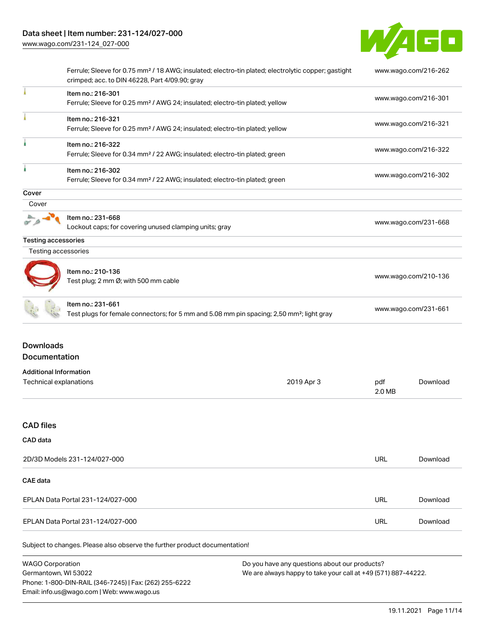

|                                                         | Ferrule; Sleeve for 0.75 mm <sup>2</sup> / 18 AWG; insulated; electro-tin plated; electrolytic copper; gastight            |                                                               |                      | www.wago.com/216-262 |  |
|---------------------------------------------------------|----------------------------------------------------------------------------------------------------------------------------|---------------------------------------------------------------|----------------------|----------------------|--|
|                                                         | crimped; acc. to DIN 46228, Part 4/09.90; gray                                                                             |                                                               |                      |                      |  |
|                                                         | Item no.: 216-301<br>Ferrule; Sleeve for 0.25 mm <sup>2</sup> / AWG 24; insulated; electro-tin plated; yellow              |                                                               | www.wago.com/216-301 |                      |  |
|                                                         | Item no.: 216-321<br>Ferrule; Sleeve for 0.25 mm <sup>2</sup> / AWG 24; insulated; electro-tin plated; yellow              |                                                               | www.wago.com/216-321 |                      |  |
|                                                         | Item no.: 216-322<br>Ferrule; Sleeve for 0.34 mm <sup>2</sup> / 22 AWG; insulated; electro-tin plated; green               |                                                               | www.wago.com/216-322 |                      |  |
|                                                         | Item no.: 216-302<br>Ferrule; Sleeve for 0.34 mm <sup>2</sup> / 22 AWG; insulated; electro-tin plated; green               |                                                               |                      | www.wago.com/216-302 |  |
| Cover                                                   |                                                                                                                            |                                                               |                      |                      |  |
| Cover                                                   |                                                                                                                            |                                                               |                      |                      |  |
|                                                         | Item no.: 231-668<br>Lockout caps; for covering unused clamping units; gray                                                |                                                               | www.wago.com/231-668 |                      |  |
| <b>Testing accessories</b>                              |                                                                                                                            |                                                               |                      |                      |  |
| Testing accessories                                     |                                                                                                                            |                                                               |                      |                      |  |
|                                                         | Item no.: 210-136<br>Test plug; 2 mm Ø; with 500 mm cable                                                                  |                                                               |                      | www.wago.com/210-136 |  |
|                                                         | Item no.: 231-661<br>Test plugs for female connectors; for 5 mm and 5.08 mm pin spacing; 2,50 mm <sup>2</sup> ; light gray |                                                               | www.wago.com/231-661 |                      |  |
| <b>Downloads</b><br>Documentation                       |                                                                                                                            |                                                               |                      |                      |  |
| <b>Additional Information</b><br>Technical explanations |                                                                                                                            | 2019 Apr 3                                                    | pdf<br>2.0 MB        | Download             |  |
| <b>CAD files</b>                                        |                                                                                                                            |                                                               |                      |                      |  |
| CAD data                                                |                                                                                                                            |                                                               |                      |                      |  |
|                                                         | 2D/3D Models 231-124/027-000                                                                                               |                                                               | <b>URL</b>           | Download             |  |
| <b>CAE</b> data                                         |                                                                                                                            |                                                               |                      |                      |  |
|                                                         | EPLAN Data Portal 231-124/027-000                                                                                          |                                                               | <b>URL</b>           | Download             |  |
|                                                         | EPLAN Data Portal 231-124/027-000                                                                                          |                                                               | <b>URL</b>           | Download             |  |
|                                                         | Subject to changes. Please also observe the further product documentation!                                                 |                                                               |                      |                      |  |
| <b>WAGO Corporation</b>                                 |                                                                                                                            | Do you have any questions about our products?                 |                      |                      |  |
| Germantown, WI 53022                                    | Phone: 1-800-DIN-RAIL (346-7245)   Fax: (262) 255-6222                                                                     | We are always happy to take your call at +49 (571) 887-44222. |                      |                      |  |

Email: info.us@wago.com | Web: www.wago.us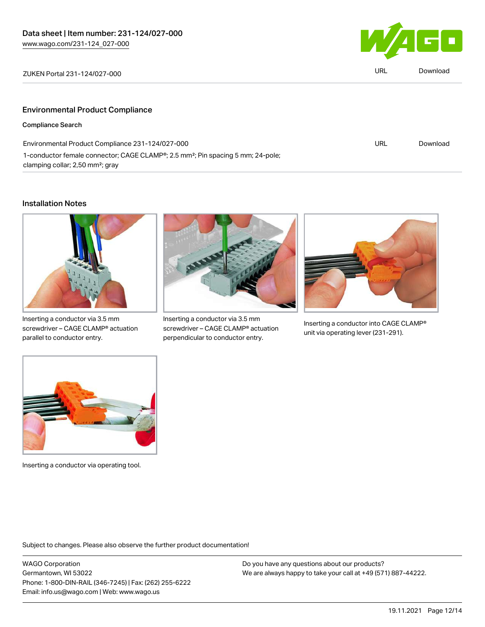

| 124/027-000 | URL | Download |
|-------------|-----|----------|
|             |     |          |

## Environmental Product Compliance

### Compliance Search

| Environmental Product Compliance 231-124/027-000                                                         | URL | Download |
|----------------------------------------------------------------------------------------------------------|-----|----------|
| 1-conductor female connector; CAGE CLAMP <sup>®</sup> ; 2.5 mm <sup>2</sup> ; Pin spacing 5 mm; 24-pole; |     |          |
| clamping collar; 2,50 mm <sup>2</sup> ; gray                                                             |     |          |

#### Installation Notes



Inserting a conductor via 3.5 mm screwdriver – CAGE CLAMP® actuation parallel to conductor entry.



Inserting a conductor via 3.5 mm screwdriver – CAGE CLAMP® actuation perpendicular to conductor entry.



Inserting a conductor into CAGE CLAMP® unit via operating lever (231-291).



Inserting a conductor via operating tool.

Subject to changes. Please also observe the further product documentation!

WAGO Corporation Germantown, WI 53022 Phone: 1-800-DIN-RAIL (346-7245) | Fax: (262) 255-6222 Email: info.us@wago.com | Web: www.wago.us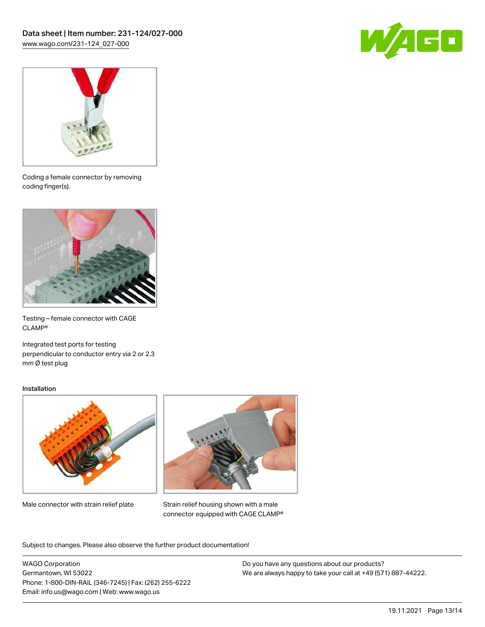



Coding a female connector by removing coding finger(s).



Testing – female connector with CAGE CLAMP®

Integrated test ports for testing perpendicular to conductor entry via 2 or 2.3 mm Ø test plug

#### Installation



Male connector with strain relief plate



Strain relief housing shown with a male connector equipped with CAGE CLAMP®

Subject to changes. Please also observe the further product documentation!

WAGO Corporation Germantown, WI 53022 Phone: 1-800-DIN-RAIL (346-7245) | Fax: (262) 255-6222 Email: info.us@wago.com | Web: www.wago.us